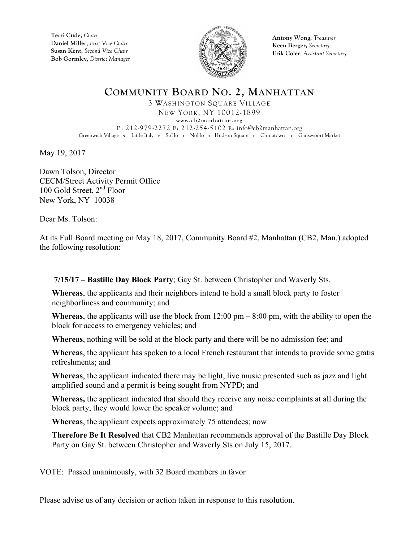

**Antony Wong,** *Treasurer* **Keen Berger,** *Secretary* **Erik Coler**, *Assistant Secretary*

## **COMMUNITY BOARD NO. 2, MANHATTAN** 3 WASHINGTON SQUARE VILLAGE NEW YORK, NY 10012-1899 **www.cb2manhattan.org P**: 212-979-2272 **F**: 212-254-5102 **E:** info@cb2manhattan.org Greenwich Village . Little Italy . SoHo . NoHo . Hudson Square . Chinatown . Gansevoort Market

May 19, 2017

Dawn Tolson, Director CECM/Street Activity Permit Office 100 Gold Street,  $2<sup>nd</sup>$  Floor New York, NY 10038

Dear Ms. Tolson:

At its Full Board meeting on May 18, 2017, Community Board #2, Manhattan (CB2, Man.) adopted the following resolution:

 **7/15/17 – Bastille Day Block Party**; Gay St. between Christopher and Waverly Sts.

**Whereas**, the applicants and their neighbors intend to hold a small block party to foster neighborliness and community; and

**Whereas**, the applicants will use the block from  $12:00 \text{ pm} - 8:00 \text{ pm}$ , with the ability to open the block for access to emergency vehicles; and

**Whereas**, nothing will be sold at the block party and there will be no admission fee; and

**Whereas**, the applicant has spoken to a local French restaurant that intends to provide some gratis refreshments; and

**Whereas**, the applicant indicated there may be light, live music presented such as jazz and light amplified sound and a permit is being sought from NYPD; and

**Whereas,** the applicant indicated that should they receive any noise complaints at all during the block party, they would lower the speaker volume; and

**Whereas**, the applicant expects approximately 75 attendees; now

**Therefore Be It Resolved** that CB2 Manhattan recommends approval of the Bastille Day Block Party on Gay St. between Christopher and Waverly Sts on July 15, 2017.

VOTE: Passed unanimously, with 32 Board members in favor

Please advise us of any decision or action taken in response to this resolution.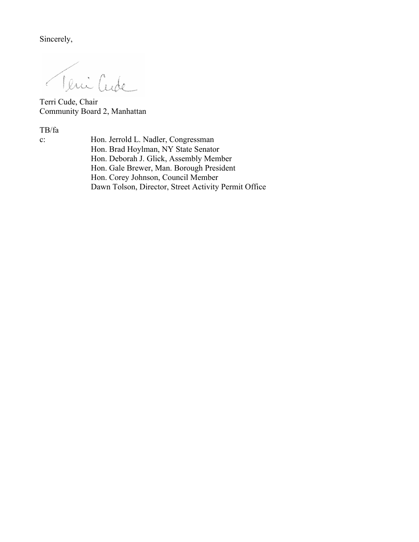Sincerely,

Veni Cude

Terri Cude, Chair Community Board 2, Manhattan

TB/fa

c: Hon. Jerrold L. Nadler, Congressman Hon. Brad Hoylman, NY State Senator Hon. Deborah J. Glick, Assembly Member Hon. Gale Brewer, Man. Borough President Hon. Corey Johnson, Council Member Dawn Tolson, Director, Street Activity Permit Office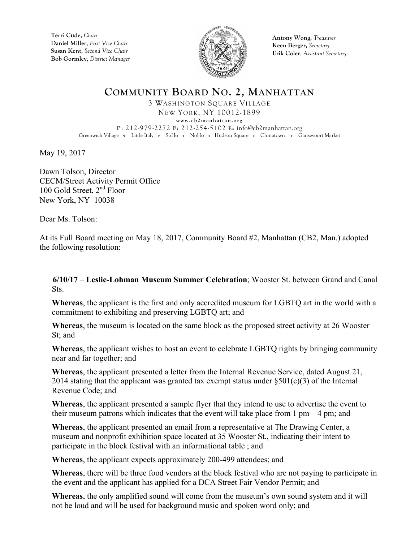

**Antony Wong,** *Treasurer* **Keen Berger,** *Secretary* **Erik Coler**, *Assistant Secretary*

## **COMMUNITY BOARD NO. 2, MANHATTAN** 3 WASHINGTON SQUARE VILLAGE NEW YORK, NY 10012-1899 **www.cb2manhattan.org**

**P**: 212-979-2272 **F**: 212-254-5102 **E:** info@cb2manhattan.org Greenwich Village . Little Italy . SoHo . NoHo . Hudson Square . Chinatown . Gansevoort Market

May 19, 2017

Dawn Tolson, Director CECM/Street Activity Permit Office 100 Gold Street,  $2<sup>nd</sup>$  Floor New York, NY 10038

Dear Ms. Tolson:

At its Full Board meeting on May 18, 2017, Community Board #2, Manhattan (CB2, Man.) adopted the following resolution:

 **6/10/17** – **Leslie-Lohman Museum Summer Celebration**; Wooster St. between Grand and Canal Sts.

**Whereas**, the applicant is the first and only accredited museum for LGBTQ art in the world with a commitment to exhibiting and preserving LGBTQ art; and

**Whereas**, the museum is located on the same block as the proposed street activity at 26 Wooster St; and

**Whereas**, the applicant wishes to host an event to celebrate LGBTQ rights by bringing community near and far together; and

**Whereas**, the applicant presented a letter from the Internal Revenue Service, dated August 21, 2014 stating that the applicant was granted tax exempt status under  $\S501(c)(3)$  of the Internal Revenue Code; and

**Whereas**, the applicant presented a sample flyer that they intend to use to advertise the event to their museum patrons which indicates that the event will take place from  $1 \text{ pm} - 4 \text{ pm}$ ; and

**Whereas**, the applicant presented an email from a representative at The Drawing Center, a museum and nonprofit exhibition space located at 35 Wooster St., indicating their intent to participate in the block festival with an informational table ; and

**Whereas**, the applicant expects approximately 200-499 attendees; and

**Whereas**, there will be three food vendors at the block festival who are not paying to participate in the event and the applicant has applied for a DCA Street Fair Vendor Permit; and

**Whereas**, the only amplified sound will come from the museum's own sound system and it will not be loud and will be used for background music and spoken word only; and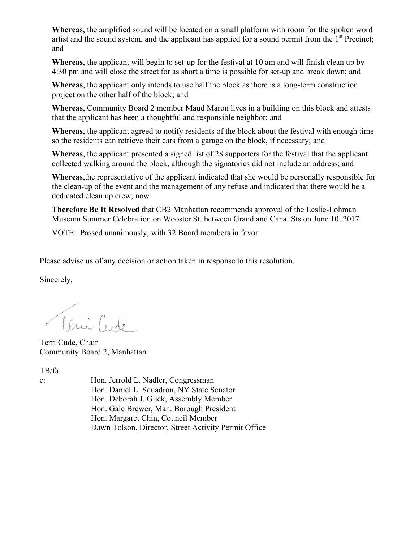**Whereas**, the amplified sound will be located on a small platform with room for the spoken word artist and the sound system, and the applicant has applied for a sound permit from the  $1<sup>st</sup>$  Precinct; and

**Whereas**, the applicant will begin to set-up for the festival at 10 am and will finish clean up by 4:30 pm and will close the street for as short a time is possible for set-up and break down; and

**Whereas**, the applicant only intends to use half the block as there is a long-term construction project on the other half of the block; and

**Whereas**, Community Board 2 member Maud Maron lives in a building on this block and attests that the applicant has been a thoughtful and responsible neighbor; and

**Whereas**, the applicant agreed to notify residents of the block about the festival with enough time so the residents can retrieve their cars from a garage on the block, if necessary; and

**Whereas**, the applicant presented a signed list of 28 supporters for the festival that the applicant collected walking around the block, although the signatories did not include an address; and

**Whereas**,the representative of the applicant indicated that she would be personally responsible for the clean-up of the event and the management of any refuse and indicated that there would be a dedicated clean up crew; now

**Therefore Be It Resolved** that CB2 Manhattan recommends approval of the Leslie-Lohman Museum Summer Celebration on Wooster St. between Grand and Canal Sts on June 10, 2017.

VOTE: Passed unanimously, with 32 Board members in favor

Please advise us of any decision or action taken in response to this resolution.

Sincerely,

Veni Cude

Terri Cude, Chair Community Board 2, Manhattan

TB/fa

c: Hon. Jerrold L. Nadler, Congressman Hon. Daniel L. Squadron, NY State Senator Hon. Deborah J. Glick, Assembly Member Hon. Gale Brewer, Man. Borough President Hon. Margaret Chin, Council Member Dawn Tolson, Director, Street Activity Permit Office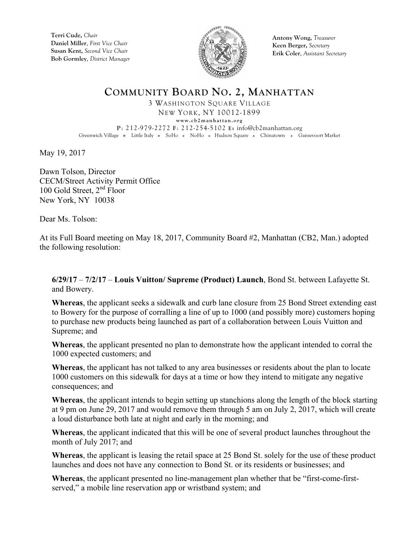

**Antony Wong,** *Treasurer* **Keen Berger,** *Secretary* **Erik Coler**, *Assistant Secretary*

## **COMMUNITY BOARD NO. 2, MANHATTAN** 3 WASHINGTON SQUARE VILLAGE

NEW YORK, NY 10012-1899 **www.cb2manhattan.org P**: 212-979-2272 **F**: 212-254-5102 **E:** info@cb2manhattan.org Greenwich Village . Little Italy . SoHo . NoHo . Hudson Square . Chinatown . Gansevoort Market

May 19, 2017

Dawn Tolson, Director CECM/Street Activity Permit Office 100 Gold Street,  $2<sup>nd</sup>$  Floor New York, NY 10038

Dear Ms. Tolson:

At its Full Board meeting on May 18, 2017, Community Board #2, Manhattan (CB2, Man.) adopted the following resolution:

**6/29/17** – **7/2/17** – **Louis Vuitton/ Supreme (Product) Launch**, Bond St. between Lafayette St. and Bowery.

**Whereas**, the applicant seeks a sidewalk and curb lane closure from 25 Bond Street extending east to Bowery for the purpose of corralling a line of up to 1000 (and possibly more) customers hoping to purchase new products being launched as part of a collaboration between Louis Vuitton and Supreme; and

**Whereas**, the applicant presented no plan to demonstrate how the applicant intended to corral the 1000 expected customers; and

**Whereas**, the applicant has not talked to any area businesses or residents about the plan to locate 1000 customers on this sidewalk for days at a time or how they intend to mitigate any negative consequences; and

**Whereas**, the applicant intends to begin setting up stanchions along the length of the block starting at 9 pm on June 29, 2017 and would remove them through 5 am on July 2, 2017, which will create a loud disturbance both late at night and early in the morning; and

**Whereas**, the applicant indicated that this will be one of several product launches throughout the month of July 2017; and

**Whereas**, the applicant is leasing the retail space at 25 Bond St. solely for the use of these product launches and does not have any connection to Bond St. or its residents or businesses; and

**Whereas**, the applicant presented no line-management plan whether that be "first-come-firstserved," a mobile line reservation app or wristband system; and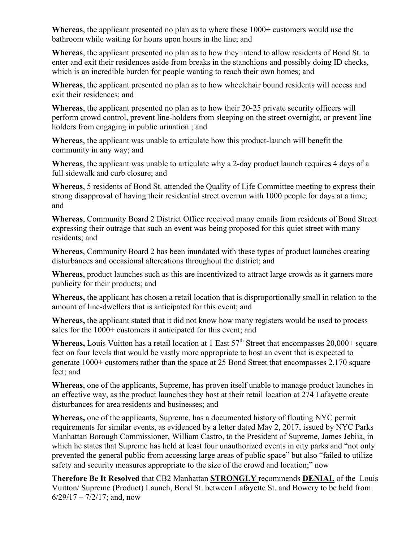**Whereas**, the applicant presented no plan as to where these 1000+ customers would use the bathroom while waiting for hours upon hours in the line; and

**Whereas**, the applicant presented no plan as to how they intend to allow residents of Bond St. to enter and exit their residences aside from breaks in the stanchions and possibly doing ID checks, which is an incredible burden for people wanting to reach their own homes; and

**Whereas**, the applicant presented no plan as to how wheelchair bound residents will access and exit their residences; and

**Whereas**, the applicant presented no plan as to how their 20-25 private security officers will perform crowd control, prevent line-holders from sleeping on the street overnight, or prevent line holders from engaging in public urination ; and

**Whereas**, the applicant was unable to articulate how this product-launch will benefit the community in any way; and

**Whereas**, the applicant was unable to articulate why a 2-day product launch requires 4 days of a full sidewalk and curb closure; and

**Whereas**, 5 residents of Bond St. attended the Quality of Life Committee meeting to express their strong disapproval of having their residential street overrun with 1000 people for days at a time; and

**Whereas**, Community Board 2 District Office received many emails from residents of Bond Street expressing their outrage that such an event was being proposed for this quiet street with many residents; and

**Whereas**, Community Board 2 has been inundated with these types of product launches creating disturbances and occasional altercations throughout the district; and

**Whereas**, product launches such as this are incentivized to attract large crowds as it garners more publicity for their products; and

**Whereas,** the applicant has chosen a retail location that is disproportionally small in relation to the amount of line-dwellers that is anticipated for this event; and

**Whereas,** the applicant stated that it did not know how many registers would be used to process sales for the 1000+ customers it anticipated for this event; and

**Whereas,** Louis Vuitton has a retail location at 1 East 57<sup>th</sup> Street that encompasses 20,000+ square feet on four levels that would be vastly more appropriate to host an event that is expected to generate 1000+ customers rather than the space at 25 Bond Street that encompasses 2,170 square feet; and

**Whereas**, one of the applicants, Supreme, has proven itself unable to manage product launches in an effective way, as the product launches they host at their retail location at 274 Lafayette create disturbances for area residents and businesses; and

**Whereas,** one of the applicants, Supreme, has a documented history of flouting NYC permit requirements for similar events, as evidenced by a letter dated May 2, 2017, issued by NYC Parks Manhattan Borough Commissioner, William Castro, to the President of Supreme, James Jebiia, in which he states that Supreme has held at least four unauthorized events in city parks and "not only prevented the general public from accessing large areas of public space" but also "failed to utilize safety and security measures appropriate to the size of the crowd and location;" now

**Therefore Be It Resolved** that CB2 Manhattan **STRONGLY** recommends **DENIAL** of the Louis Vuitton/ Supreme (Product) Launch, Bond St. between Lafayette St. and Bowery to be held from  $6/29/17 - 7/2/17$ ; and, now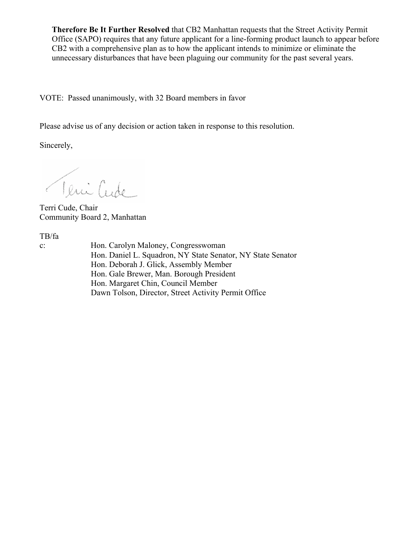**Therefore Be It Further Resolved** that CB2 Manhattan requests that the Street Activity Permit Office (SAPO) requires that any future applicant for a line-forming product launch to appear before CB2 with a comprehensive plan as to how the applicant intends to minimize or eliminate the unnecessary disturbances that have been plaguing our community for the past several years.

VOTE: Passed unanimously, with 32 Board members in favor

Please advise us of any decision or action taken in response to this resolution.

Sincerely,

Teni Cude

Terri Cude, Chair Community Board 2, Manhattan

TB/fa

c: Hon. Carolyn Maloney, Congresswoman Hon. Daniel L. Squadron, NY State Senator, NY State Senator Hon. Deborah J. Glick, Assembly Member Hon. Gale Brewer, Man. Borough President Hon. Margaret Chin, Council Member Dawn Tolson, Director, Street Activity Permit Office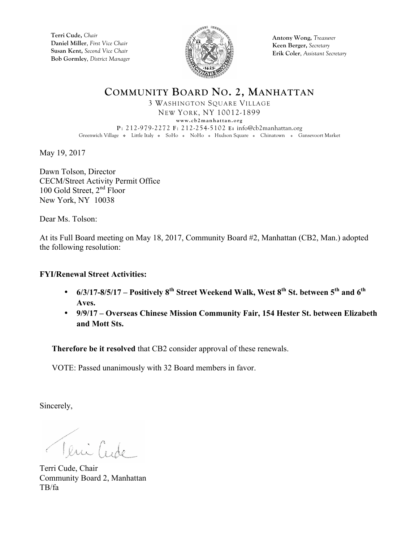

**Antony Wong,** *Treasurer* **Keen Berger,** *Secretary* **Erik Coler**, *Assistant Secretary*

**COMMUNITY BOARD NO. 2, MANHATTAN** 3 WASHINGTON SQUARE VILLAGE NEW YORK, NY 10012-1899 **www.cb2manhattan.org P**: 212-979-2272 **F**: 212-254-5102 **E:** info@cb2manhattan.org Greenwich Village . Little Italy . SoHo . NoHo . Hudson Square . Chinatown . Gansevoort Market

May 19, 2017

Dawn Tolson, Director CECM/Street Activity Permit Office 100 Gold Street, 2<sup>nd</sup> Floor New York, NY 10038

Dear Ms. Tolson:

At its Full Board meeting on May 18, 2017, Community Board #2, Manhattan (CB2, Man.) adopted the following resolution:

## **FYI/Renewal Street Activities:**

- **6/3/17-8/5/17 – Positively 8th Street Weekend Walk, West 8th St. between 5th and 6th Aves.**
- **9/9/17 – Overseas Chinese Mission Community Fair, 154 Hester St. between Elizabeth and Mott Sts.**

**Therefore be it resolved** that CB2 consider approval of these renewals.

VOTE: Passed unanimously with 32 Board members in favor.

Sincerely,

Teni Crode

Terri Cude, Chair Community Board 2, Manhattan TB/fa